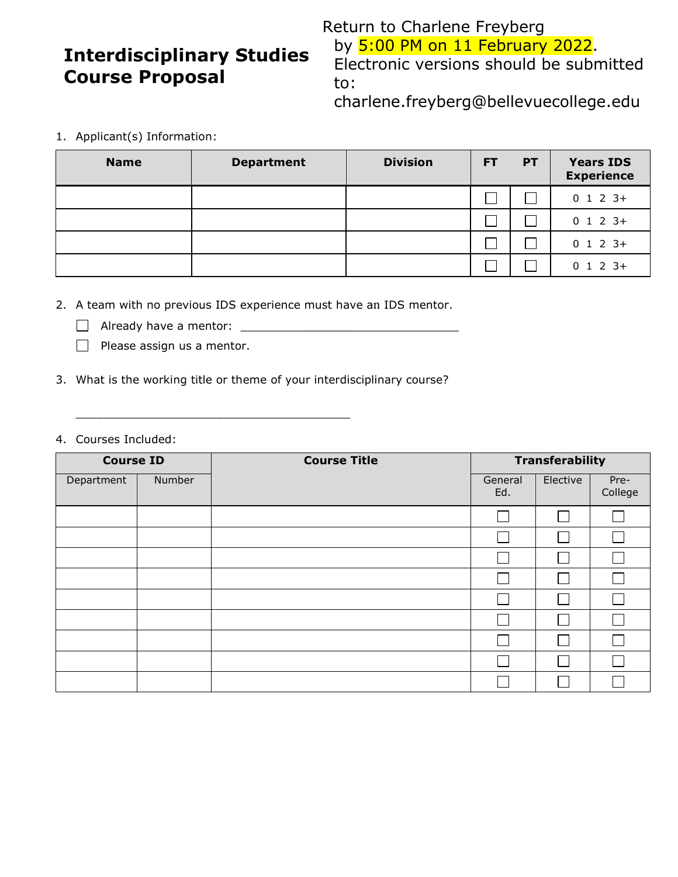## **Interdisciplinary Studies Course Proposal**

Return to Charlene Freyberg by **5:00 PM on 11 February 2022**. Electronic versions should be submitted to:

charlene.freyberg@bellevuecollege.edu

1. Applicant(s) Information:

| <b>Name</b> | <b>Department</b> | <b>Division</b> | <b>PT</b><br>FT. |  | <b>Years IDS</b><br><b>Experience</b> |
|-------------|-------------------|-----------------|------------------|--|---------------------------------------|
|             |                   |                 |                  |  | $0$ 1 2 3+                            |
|             |                   |                 |                  |  | $0$ 1 2 3+                            |
|             |                   |                 |                  |  | $0$ 1 2 3+                            |
|             |                   |                 |                  |  | $0$ 1 2 3+                            |

2. A team with no previous IDS experience must have an IDS mentor.

- Already have a mentor: \_\_\_\_\_\_\_\_\_\_\_\_\_\_\_\_\_\_\_\_\_\_\_\_\_\_\_\_\_\_\_
- $\Box$  Please assign us a mentor.
- 3. What is the working title or theme of your interdisciplinary course?

\_\_\_\_\_\_\_\_\_\_\_\_\_\_\_\_\_\_\_\_\_\_\_\_\_\_\_\_\_\_\_\_\_\_\_\_\_\_\_

4. Courses Included:

| <b>Course ID</b> |        | <b>Course Title</b> | <b>Transferability</b> |          |                 |  |
|------------------|--------|---------------------|------------------------|----------|-----------------|--|
| Department       | Number |                     | General<br>Ed.         | Elective | Pre-<br>College |  |
|                  |        |                     |                        |          |                 |  |
|                  |        |                     |                        |          |                 |  |
|                  |        |                     |                        |          |                 |  |
|                  |        |                     |                        |          |                 |  |
|                  |        |                     |                        |          |                 |  |
|                  |        |                     |                        |          |                 |  |
|                  |        |                     |                        |          |                 |  |
|                  |        |                     |                        |          |                 |  |
|                  |        |                     |                        |          |                 |  |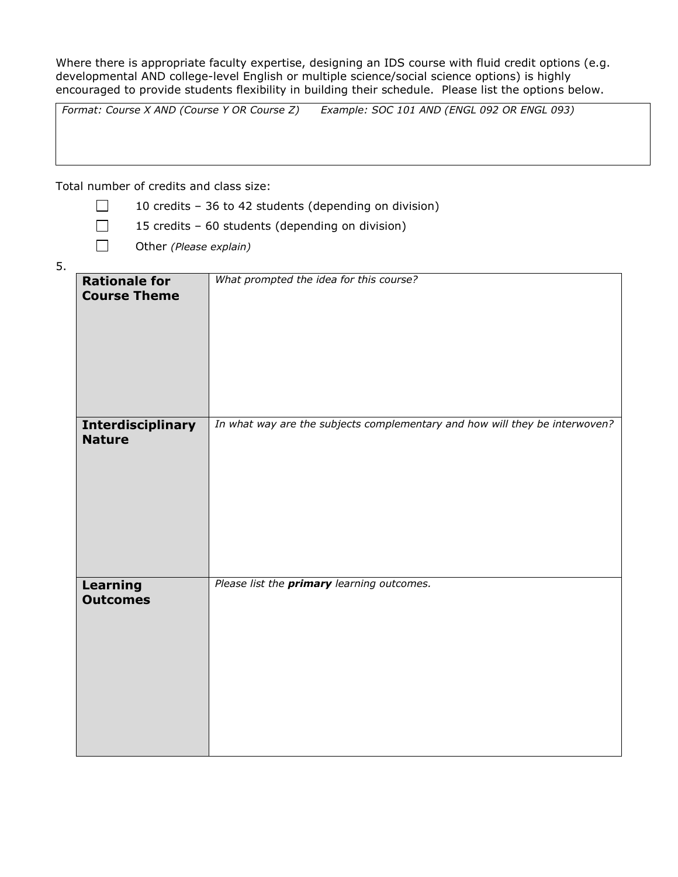Where there is appropriate faculty expertise, designing an IDS course with fluid credit options (e.g. developmental AND college-level English or multiple science/social science options) is highly encouraged to provide students flexibility in building their schedule. Please list the options below.

*Format: Course X AND (Course Y OR Course Z) Example: SOC 101 AND (ENGL 092 OR ENGL 093)*

Total number of credits and class size:

- $\Box$ 10 credits – 36 to 42 students (depending on division)
- $\Box$ 15 credits – 60 students (depending on division)
- $\Box$ Other *(Please explain)*
- 5.

| <b>Rationale for</b><br><b>Course Theme</b> | What prompted the idea for this course?                                     |
|---------------------------------------------|-----------------------------------------------------------------------------|
| <b>Interdisciplinary</b><br><b>Nature</b>   | In what way are the subjects complementary and how will they be interwoven? |
| <b>Learning</b><br><b>Outcomes</b>          | Please list the primary learning outcomes.                                  |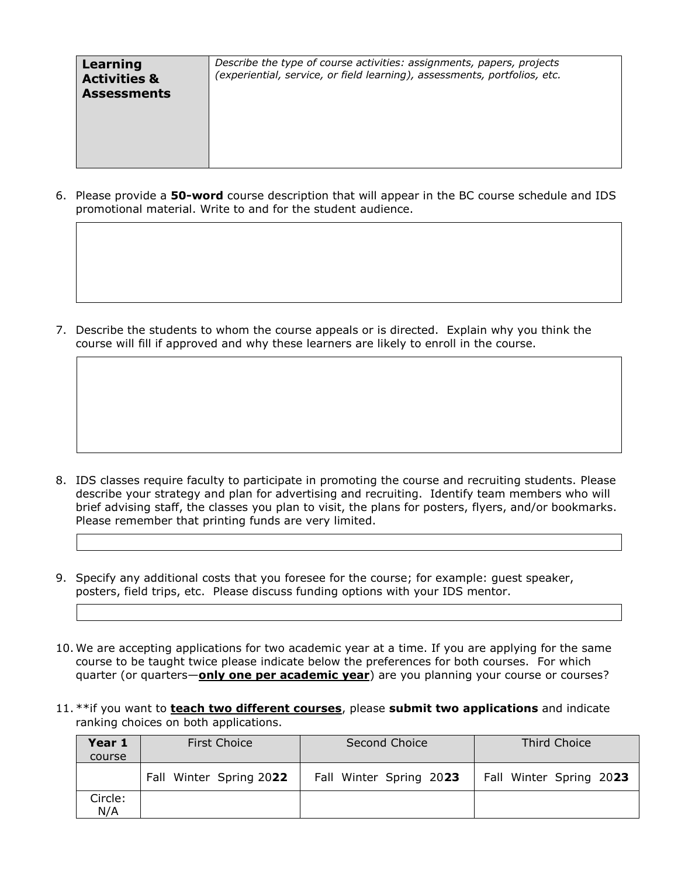| Describe the type of course activities: assignments, papers, projects<br>Learning<br>(experiential, service, or field learning), assessments, portfolios, etc.<br><b>Activities &amp;</b><br><b>Assessments</b> |  |
|-----------------------------------------------------------------------------------------------------------------------------------------------------------------------------------------------------------------|--|
|-----------------------------------------------------------------------------------------------------------------------------------------------------------------------------------------------------------------|--|

6. Please provide a **50-word** course description that will appear in the BC course schedule and IDS promotional material. Write to and for the student audience.

7. Describe the students to whom the course appeals or is directed. Explain why you think the course will fill if approved and why these learners are likely to enroll in the course.

- 8. IDS classes require faculty to participate in promoting the course and recruiting students. Please describe your strategy and plan for advertising and recruiting. Identify team members who will brief advising staff, the classes you plan to visit, the plans for posters, flyers, and/or bookmarks. Please remember that printing funds are very limited.
- 9. Specify any additional costs that you foresee for the course; for example: guest speaker, posters, field trips, etc. Please discuss funding options with your IDS mentor.
- 10. We are accepting applications for two academic year at a time. If you are applying for the same course to be taught twice please indicate below the preferences for both courses. For which quarter (or quarters—**only one per academic year**) are you planning your course or courses?
- 11. \*\*if you want to **teach two different courses**, please **submit two applications** and indicate ranking choices on both applications.

| Year 1  | <b>First Choice</b>     | Second Choice           | Third Choice            |  |
|---------|-------------------------|-------------------------|-------------------------|--|
| course  |                         |                         |                         |  |
|         | Fall Winter Spring 2022 | Fall Winter Spring 2023 | Fall Winter Spring 2023 |  |
| Circle: |                         |                         |                         |  |
| N/A     |                         |                         |                         |  |